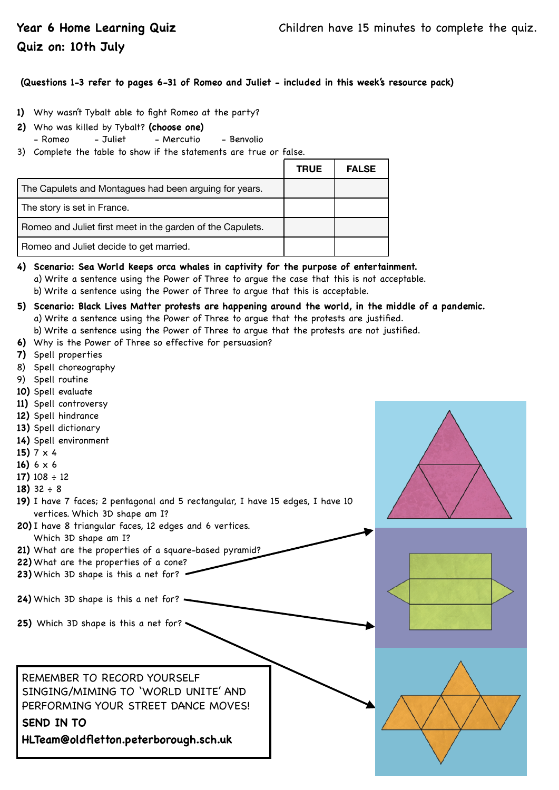## **Quiz on: 10th July**

### **(Questions 1-3 refer to pages 6-31 of Romeo and Juliet - included in this week's resource pack)**

- **1)** Why wasn't Tybalt able to fight Romeo at the party?
- **2)** Who was killed by Tybalt? **(choose one)** 
	- Romeo Juliet Mercutio Benvolio
- 3) Complete the table to show if the statements are true or false.

|                                                            | <b>TRUE</b> | <b>FALSE</b> |
|------------------------------------------------------------|-------------|--------------|
| The Capulets and Montagues had been arguing for years.     |             |              |
| The story is set in France.                                |             |              |
| Romeo and Juliet first meet in the garden of the Capulets. |             |              |
| Romeo and Juliet decide to get married.                    |             |              |

- **4) Scenario: Sea World keeps orca whales in captivity for the purpose of entertainment.**  a) Write a sentence using the Power of Three to argue the case that this is not acceptable. b) Write a sentence using the Power of Three to argue that this is acceptable.
- **5) Scenario: Black Lives Matter protests are happening around the world, in the middle of a pandemic.**  a) Write a sentence using the Power of Three to argue that the protests are justified. b) Write a sentence using the Power of Three to argue that the protests are not justified.
- **6)** Why is the Power of Three so effective for persuasion?
- **7)** Spell properties
- 8) Spell choreography
- 9) Spell routine
- **10)** Spell evaluate
- **11)** Spell controversy
- **12)** Spell hindrance
- **13)** Spell dictionary
- **14)** Spell environment
- **15)** 7 x 4
- **16)** 6 x 6
- **17)** 108 ÷ 12
- **18)** 32 ÷ 8
- **19)** I have 7 faces; 2 pentagonal and 5 rectangular, I have 15 edges, I have 10 vertices. Which 3D shape am I?
- **20)** I have 8 triangular faces, 12 edges and 6 vertices.
- Which 3D shape am I?
- **21)** What are the properties of a square-based pyramid?
- **22)** What are the properties of a cone?
- **23)** Which 3D shape is this a net for?

**24)** Which 3D shape is this a net for?

**25)** Which 3D shape is this a net for?

REMEMBER TO RECORD YOURSELF SINGING/MIMING TO 'WORLD UNITE' AND PERFORMING YOUR STREET DANCE MOVES!

# **SEND IN TO**

**HLTeam@oldfletton.peterborough.sch.uk**